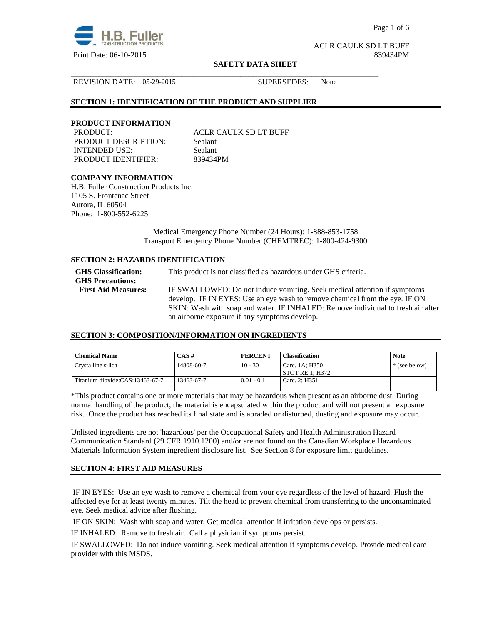

Page 1 of 6

ACLR CAULK SD LT BUFF Print Date: 06-10-2015 839434PM

#### **SAFETY DATA SHEET**

\_\_\_\_\_\_\_\_\_\_\_\_\_\_\_\_\_\_\_\_\_\_\_\_\_\_\_\_\_\_\_\_\_\_\_\_\_\_\_\_\_\_\_\_\_\_\_\_\_\_\_\_\_\_\_\_\_\_\_\_\_\_\_\_\_\_\_\_\_\_\_\_\_\_\_\_\_\_

REVISION DATE: 05-29-2015 SUPERSEDES: None

#### **SECTION 1: IDENTIFICATION OF THE PRODUCT AND SUPPLIER**

#### **PRODUCT INFORMATION**

PRODUCT DESCRIPTION: Sealant INTENDED USE: Sealant PRODUCT IDENTIFIER: 839434PM

PRODUCT: ACLR CAULK SD LT BUFF

# **COMPANY INFORMATION**

H.B. Fuller Construction Products Inc. 1105 S. Frontenac Street Aurora, IL 60504 Phone: 1-800-552-6225

> Medical Emergency Phone Number (24 Hours): 1-888-853-1758 Transport Emergency Phone Number (CHEMTREC): 1-800-424-9300

#### **SECTION 2: HAZARDS IDENTIFICATION**

| <b>GHS</b> Classification:<br><b>GHS Precautions:</b> | This product is not classified as hazardous under GHS criteria.                                                                                                 |
|-------------------------------------------------------|-----------------------------------------------------------------------------------------------------------------------------------------------------------------|
| <b>First Aid Measures:</b>                            | IF SWALLOWED: Do not induce vomiting. Seek medical attention if symptoms                                                                                        |
|                                                       | develop. IF IN EYES: Use an eye wash to remove chemical from the eye. IF ON<br>SKIN: Wash with soap and water. IF INHALED: Remove individual to fresh air after |
|                                                       | an airborne exposure if any symptoms develop.                                                                                                                   |

#### **SECTION 3: COMPOSITION/INFORMATION ON INGREDIENTS**

| <b>Chemical Name</b>            | $CAS \#$   | <b>PERCENT</b> | <b>Classification</b>               | <b>Note</b>   |
|---------------------------------|------------|----------------|-------------------------------------|---------------|
| Crystalline silica              | 14808-60-7 | $10 - 30$      | Carc. 1A; H350<br>  STOT RE 1: H372 | * (see below) |
| Titanium dioxide:CAS:13463-67-7 | 13463-67-7 | $0.01 - 0.1$   | Carc. 2: H351                       |               |

\*This product contains one or more materials that may be hazardous when present as an airborne dust. During normal handling of the product, the material is encapsulated within the product and will not present an exposure risk. Once the product has reached its final state and is abraded or disturbed, dusting and exposure may occur.

Unlisted ingredients are not 'hazardous' per the Occupational Safety and Health Administration Hazard Communication Standard (29 CFR 1910.1200) and/or are not found on the Canadian Workplace Hazardous Materials Information System ingredient disclosure list. See Section 8 for exposure limit guidelines.

# **SECTION 4: FIRST AID MEASURES**

 IF IN EYES: Use an eye wash to remove a chemical from your eye regardless of the level of hazard. Flush the affected eye for at least twenty minutes. Tilt the head to prevent chemical from transferring to the uncontaminated eye. Seek medical advice after flushing.

IF ON SKIN: Wash with soap and water. Get medical attention if irritation develops or persists.

IF INHALED: Remove to fresh air. Call a physician if symptoms persist.

IF SWALLOWED:Do not induce vomiting. Seek medical attention if symptoms develop. Provide medical care provider with this MSDS.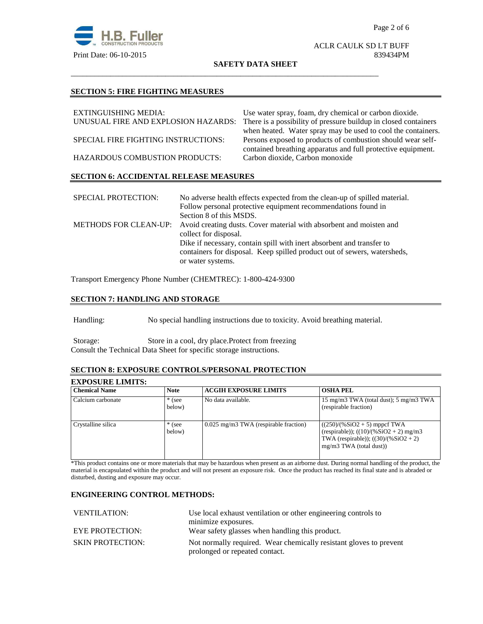

# ACLR CAULK SD LT BUFF

#### **SAFETY DATA SHEET**

\_\_\_\_\_\_\_\_\_\_\_\_\_\_\_\_\_\_\_\_\_\_\_\_\_\_\_\_\_\_\_\_\_\_\_\_\_\_\_\_\_\_\_\_\_\_\_\_\_\_\_\_\_\_\_\_\_\_\_\_\_\_\_\_\_\_\_\_\_\_\_\_\_\_\_\_\_\_

#### **SECTION 5: FIRE FIGHTING MEASURES**

| EXTINGUISHING MEDIA:                          | Use water spray, foam, dry chemical or carbon dioxide.          |  |  |
|-----------------------------------------------|-----------------------------------------------------------------|--|--|
| UNUSUAL FIRE AND EXPLOSION HAZARDS:           | There is a possibility of pressure buildup in closed containers |  |  |
|                                               | when heated. Water spray may be used to cool the containers.    |  |  |
| SPECIAL FIRE FIGHTING INSTRUCTIONS:           | Persons exposed to products of combustion should wear self-     |  |  |
|                                               | contained breathing apparatus and full protective equipment.    |  |  |
| HAZARDOUS COMBUSTION PRODUCTS:                | Carbon dioxide, Carbon monoxide                                 |  |  |
| <b>SECTION 6: ACCIDENTAL RELEASE MEASURES</b> |                                                                 |  |  |
|                                               |                                                                 |  |  |

| <b>SPECIAL PROTECTION:</b> | No adverse health effects expected from the clean-up of spilled material.                 |
|----------------------------|-------------------------------------------------------------------------------------------|
|                            | Follow personal protective equipment recommendations found in                             |
|                            | Section 8 of this MSDS.                                                                   |
|                            | METHODS FOR CLEAN-UP: Avoid creating dusts. Cover material with absorbent and moisten and |
|                            | collect for disposal.                                                                     |
|                            | Dike if necessary, contain spill with inert absorbent and transfer to                     |
|                            | containers for disposal. Keep spilled product out of sewers, watersheds,                  |
|                            | or water systems.                                                                         |

Transport Emergency Phone Number (CHEMTREC): 1-800-424-9300

# **SECTION 7: HANDLING AND STORAGE**

Handling: No special handling instructions due to toxicity. Avoid breathing material.

Storage: Store in a cool, dry place.Protect from freezing Consult the Technical Data Sheet for specific storage instructions.

# **SECTION 8: EXPOSURE CONTROLS/PERSONAL PROTECTION**

# **EXPOSURE LIMITS:**

| <b>Chemical Name</b> | <b>Note</b>        | <b>ACGIH EXPOSURE LIMITS</b>          | <b>OSHA PEL</b>                                                                                                                                    |
|----------------------|--------------------|---------------------------------------|----------------------------------------------------------------------------------------------------------------------------------------------------|
| Calcium carbonate    | $*$ (see<br>below) | No data available.                    | 15 mg/m3 TWA (total dust); 5 mg/m3 TWA<br>(respirable fraction)                                                                                    |
| Crystalline silica   | $*$ (see<br>below) | 0.025 mg/m3 TWA (respirable fraction) | $((250)/(%SiO2 + 5)$ mppcf TWA<br>(respirable)); $((10)/(%SiO2 + 2)$ mg/m3<br>TWA (respirable)); $((30)/(%SiO2 + 2))$<br>$mg/m3$ TWA (total dust)) |

\*This product contains one or more materials that may be hazardous when present as an airborne dust. During normal handling of the product, the material is encapsulated within the product and will not present an exposure risk. Once the product has reached its final state and is abraded or disturbed, dusting and exposure may occur.

#### **ENGINEERING CONTROL METHODS:**

| <b>VENTILATION:</b>     | Use local exhaust ventilation or other engineering controls to     |  |
|-------------------------|--------------------------------------------------------------------|--|
|                         | minimize exposures.                                                |  |
| <b>EYE PROTECTION:</b>  | Wear safety glasses when handling this product.                    |  |
| <b>SKIN PROTECTION:</b> | Not normally required. Wear chemically resistant gloves to prevent |  |
|                         | prolonged or repeated contact.                                     |  |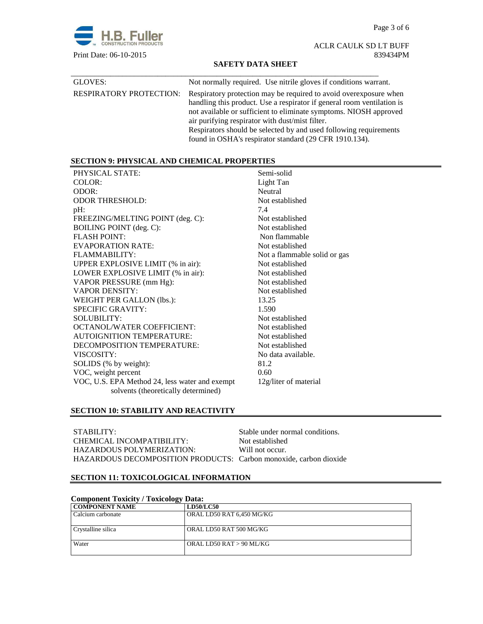Page 3 of 6



ACLR CAULK SD LT BUFF Print Date: 06-10-2015 839434PM

#### **SAFETY DATA SHEET**

| GLOVES:                        | Not normally required. Use nitrile gloves if conditions warrant.                                                                                                                                                                                                                                                                                                                                    |
|--------------------------------|-----------------------------------------------------------------------------------------------------------------------------------------------------------------------------------------------------------------------------------------------------------------------------------------------------------------------------------------------------------------------------------------------------|
| <b>RESPIRATORY PROTECTION:</b> | Respiratory protection may be required to avoid over exposure when<br>handling this product. Use a respirator if general room ventilation is<br>not available or sufficient to eliminate symptoms. NIOSH approved<br>air purifying respirator with dust/mist filter.<br>Respirators should be selected by and used following requirements<br>found in OSHA's respirator standard (29 CFR 1910.134). |

# **SECTION 9: PHYSICAL AND CHEMICAL PROPERTIES**

| PHYSICAL STATE:                                | Semi-solid                   |
|------------------------------------------------|------------------------------|
| COLOR:                                         | Light Tan                    |
| ODOR:                                          | Neutral                      |
| <b>ODOR THRESHOLD:</b>                         | Not established              |
| $pH$ :                                         | 7.4                          |
| FREEZING/MELTING POINT (deg. C):               | Not established              |
| <b>BOILING POINT</b> (deg. C):                 | Not established              |
| <b>FLASH POINT:</b>                            | Non flammable                |
| EVAPORATION RATE:                              | Not established              |
| FLAMMABILITY:                                  | Not a flammable solid or gas |
| UPPER EXPLOSIVE LIMIT (% in air):              | Not established              |
| LOWER EXPLOSIVE LIMIT (% in air):              | Not established              |
| VAPOR PRESSURE (mm Hg):                        | Not established              |
| <b>VAPOR DENSITY:</b>                          | Not established              |
| WEIGHT PER GALLON (lbs.):                      | 13.25                        |
| <b>SPECIFIC GRAVITY:</b>                       | 1.590                        |
| <b>SOLUBILITY:</b>                             | Not established              |
| <b>OCTANOL/WATER COEFFICIENT:</b>              | Not established              |
| <b>AUTOIGNITION TEMPERATURE:</b>               | Not established              |
| DECOMPOSITION TEMPERATURE:                     | Not established              |
| VISCOSITY:                                     | No data available.           |
| SOLIDS (% by weight):                          | 81.2                         |
| VOC, weight percent                            | 0.60                         |
| VOC, U.S. EPA Method 24, less water and exempt | 12g/liter of material        |
| solvents (theoretically determined)            |                              |

# **SECTION 10: STABILITY AND REACTIVITY**

| STABILITY:                                                        | Stable under normal conditions. |
|-------------------------------------------------------------------|---------------------------------|
| CHEMICAL INCOMPATIBILITY:                                         | Not established                 |
| HAZARDOUS POLYMERIZATION:                                         | Will not occur.                 |
| HAZARDOUS DECOMPOSITION PRODUCTS: Carbon monoxide, carbon dioxide |                                 |

# **SECTION 11: TOXICOLOGICAL INFORMATION**

| <b>Component Toxicity / Toxicology Data:</b> |                           |  |
|----------------------------------------------|---------------------------|--|
| <b>COMPONENT NAME</b>                        | <b>LD50/LC50</b>          |  |
| Calcium carbonate                            | ORAL LD50 RAT 6,450 MG/KG |  |
| Crystalline silica                           | ORAL LD50 RAT 500 MG/KG   |  |
| Water                                        | ORAL LD50 RAT > 90 ML/KG  |  |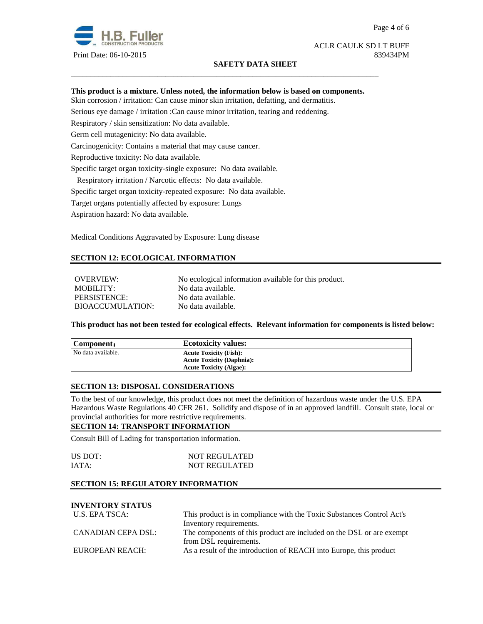

#### **SAFETY DATA SHEET**

#### ACLR CAULK SD LT BUFF Print Date: 06-10-2015 839434PM

#### **This product is a mixture. Unless noted, the information below is based on components.**

\_\_\_\_\_\_\_\_\_\_\_\_\_\_\_\_\_\_\_\_\_\_\_\_\_\_\_\_\_\_\_\_\_\_\_\_\_\_\_\_\_\_\_\_\_\_\_\_\_\_\_\_\_\_\_\_\_\_\_\_\_\_\_\_\_\_\_\_\_\_\_\_\_\_\_\_\_\_

Skin corrosion / irritation: Can cause minor skin irritation, defatting, and dermatitis.

Serious eye damage / irritation :Can cause minor irritation, tearing and reddening.

Respiratory / skin sensitization: No data available.

Germ cell mutagenicity: No data available.

Carcinogenicity: Contains a material that may cause cancer.

Reproductive toxicity: No data available.

Specific target organ toxicity-single exposure:No data available.

Respiratory irritation / Narcotic effects: No data available.

Specific target organ toxicity-repeated exposure:No data available.

Target organs potentially affected by exposure: Lungs

Aspiration hazard: No data available.

Medical Conditions Aggravated by Exposure: Lung disease

# **SECTION 12: ECOLOGICAL INFORMATION**

OVERVIEW: No ecological information available for this product. MOBILITY: No data available. PERSISTENCE: No data available. BIOACCUMULATION: No data available.

**This product has not been tested for ecological effects. Relevant information for components is listed below:** 

| Component:         | <b>Ecotoxicity values:</b>       |
|--------------------|----------------------------------|
| No data available. | <b>Acute Toxicity (Fish):</b>    |
|                    | <b>Acute Toxicity (Daphnia):</b> |
|                    | <b>Acute Toxicity (Algae):</b>   |

#### **SECTION 13: DISPOSAL CONSIDERATIONS**

To the best of our knowledge, this product does not meet the definition of hazardous waste under the U.S. EPA Hazardous Waste Regulations 40 CFR 261. Solidify and dispose of in an approved landfill. Consult state, local or provincial authorities for more restrictive requirements.

#### **SECTION 14: TRANSPORT INFORMATION**

Consult Bill of Lading for transportation information.

| US DOT: | <b>NOT REGULATED</b> |
|---------|----------------------|
| IATA:   | <b>NOT REGULATED</b> |

#### **SECTION 15: REGULATORY INFORMATION**

# **INVENTORY STATUS**

| U.S. EPA TSCA:     | This product is in compliance with the Toxic Substances Control Act's |  |
|--------------------|-----------------------------------------------------------------------|--|
|                    | Inventory requirements.                                               |  |
| CANADIAN CEPA DSL: | The components of this product are included on the DSL or are exempt  |  |
|                    | from DSL requirements.                                                |  |
| EUROPEAN REACH:    | As a result of the introduction of REACH into Europe, this product    |  |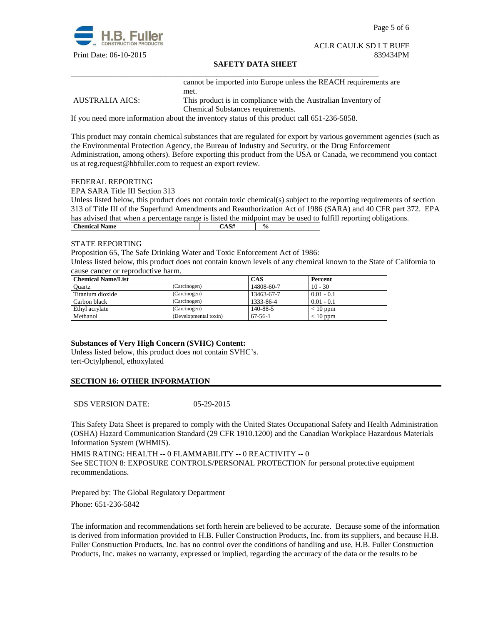

Page 5 of 6

#### ACLR CAULK SD LT BUFF Print Date: 06-10-2015 839434PM

#### **SAFETY DATA SHEET**

\_\_\_\_\_\_\_\_\_\_\_\_\_\_\_\_\_\_\_\_\_\_\_\_\_\_\_\_\_\_\_\_\_\_\_\_\_\_\_\_\_\_\_\_\_\_\_\_\_\_\_\_\_\_\_\_\_\_\_\_\_\_\_\_\_\_\_\_\_\_\_\_\_\_\_\_\_\_ cannot be imported into Europe unless the REACH requirements are met.

AUSTRALIA AICS: This product is in compliance with the Australian Inventory of Chemical Substances requirements.

If you need more information about the inventory status of this product call 651-236-5858.

This product may contain chemical substances that are regulated for export by various government agencies (such as the Environmental Protection Agency, the Bureau of Industry and Security, or the Drug Enforcement Administration, among others). Before exporting this product from the USA or Canada, we recommend you contact us at reg.request@hbfuller.com to request an export review.

#### FEDERAL REPORTING

EPA SARA Title III Section 313

Unless listed below, this product does not contain toxic chemical(s) subject to the reporting requirements of section 313 of Title III of the Superfund Amendments and Reauthorization Act of 1986 (SARA) and 40 CFR part 372. EPA has advised that when a percentage range is listed the midpoint may be used to fulfill reporting obligations. **Chemical Name**  $\qquad \qquad$   $\qquad \qquad$   $\qquad \qquad$   $\qquad \qquad$   $\qquad \qquad$   $\qquad \qquad$   $\qquad \qquad$   $\qquad \qquad$   $\qquad \qquad$   $\qquad \qquad$   $\qquad \qquad$   $\qquad \qquad$   $\qquad \qquad$   $\qquad \qquad$   $\qquad \qquad$   $\qquad \qquad$   $\qquad \qquad$   $\qquad \qquad$   $\qquad \qquad$   $\qquad \qquad$   $\qquad \qquad$   $\qquad \qquad$   $\qquad \qquad$ 

#### STATE REPORTING

Proposition 65, The Safe Drinking Water and Toxic Enforcement Act of 1986:

Unless listed below, this product does not contain known levels of any chemical known to the State of California to cause cancer or reproductive harm.

| <b>Chemical Name/List</b> |                       | CAS           | Percent      |
|---------------------------|-----------------------|---------------|--------------|
| Ouartz                    | (Carcinogen)          | 14808-60-7    | $10 - 30$    |
| Titanium dioxide          | (Carcinogen)          | 13463-67-7    | $0.01 - 0.1$ |
| Carbon black              | (Carcinogen)          | 1333-86-4     | $0.01 - 0.1$ |
| Ethyl acrylate            | (Carcinogen)          | 140-88-5      | $< 10$ ppm   |
| Methanol                  | (Developmental toxin) | $67 - 56 - 1$ | $< 10$ ppm   |

#### **Substances of Very High Concern (SVHC) Content:**

Unless listed below, this product does not contain SVHC's. tert-Octylphenol, ethoxylated

#### **SECTION 16: OTHER INFORMATION**

SDS VERSION DATE: 05-29-2015

This Safety Data Sheet is prepared to comply with the United States Occupational Safety and Health Administration (OSHA) Hazard Communication Standard (29 CFR 1910.1200) and the Canadian Workplace Hazardous Materials Information System (WHMIS).

HMIS RATING: HEALTH -- 0 FLAMMABILITY -- 0 REACTIVITY -- 0 See SECTION 8: EXPOSURE CONTROLS/PERSONAL PROTECTION for personal protective equipment recommendations.

Prepared by: The Global Regulatory Department Phone: 651-236-5842

The information and recommendations set forth herein are believed to be accurate. Because some of the information is derived from information provided to H.B. Fuller Construction Products, Inc. from its suppliers, and because H.B. Fuller Construction Products, Inc. has no control over the conditions of handling and use, H.B. Fuller Construction Products, Inc. makes no warranty, expressed or implied, regarding the accuracy of the data or the results to be